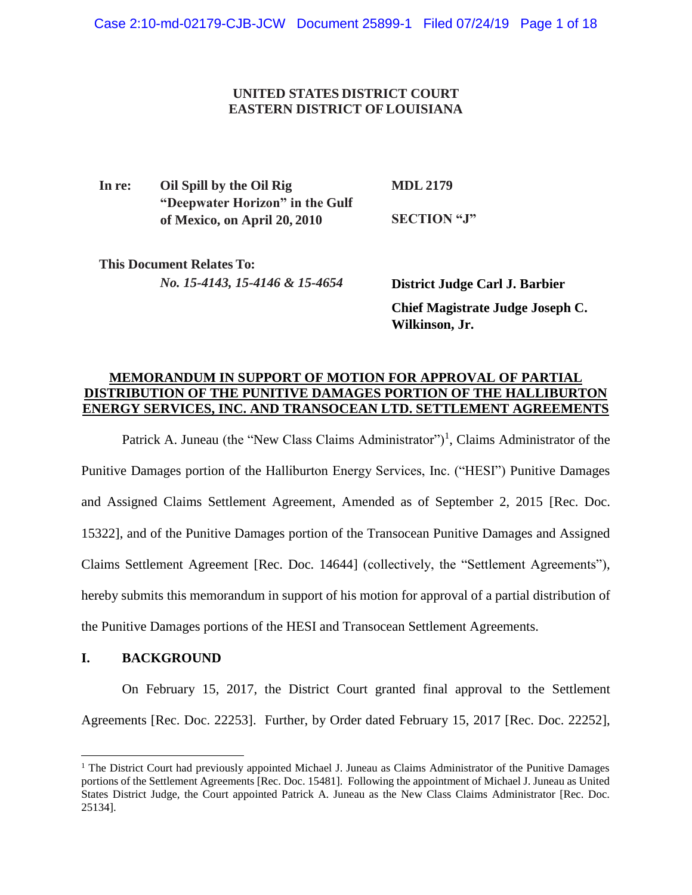## **UNITED STATES DISTRICT COURT EASTERN DISTRICT OFLOUISIANA**

**In re: Oil Spill by the Oil Rig "Deepwater Horizon" in the Gulf of Mexico, on April 20, 2010 MDL 2179 SECTION "J"** 

**This Document Relates To:** *No. 15-4143, 15-4146 & 15-4654*

**District Judge Carl J. Barbier Chief Magistrate Judge Joseph C. Wilkinson, Jr.**

## **MEMORANDUM IN SUPPORT OF MOTION FOR APPROVAL OF PARTIAL DISTRIBUTION OF THE PUNITIVE DAMAGES PORTION OF THE HALLIBURTON ENERGY SERVICES, INC. AND TRANSOCEAN LTD. SETTLEMENT AGREEMENTS**

Patrick A. Juneau (the "New Class Claims Administrator")<sup>1</sup>, Claims Administrator of the Punitive Damages portion of the Halliburton Energy Services, Inc. ("HESI") Punitive Damages and Assigned Claims Settlement Agreement, Amended as of September 2, 2015 [Rec. Doc. 15322], and of the Punitive Damages portion of the Transocean Punitive Damages and Assigned Claims Settlement Agreement [Rec. Doc. 14644] (collectively, the "Settlement Agreements"), hereby submits this memorandum in support of his motion for approval of a partial distribution of the Punitive Damages portions of the HESI and Transocean Settlement Agreements.

## **I. BACKGROUND**

 $\overline{\phantom{a}}$ 

On February 15, 2017, the District Court granted final approval to the Settlement Agreements [Rec. Doc. 22253]. Further, by Order dated February 15, 2017 [Rec. Doc. 22252],

<sup>&</sup>lt;sup>1</sup> The District Court had previously appointed Michael J. Juneau as Claims Administrator of the Punitive Damages portions of the Settlement Agreements [Rec. Doc. 15481]. Following the appointment of Michael J. Juneau as United States District Judge, the Court appointed Patrick A. Juneau as the New Class Claims Administrator [Rec. Doc. 25134].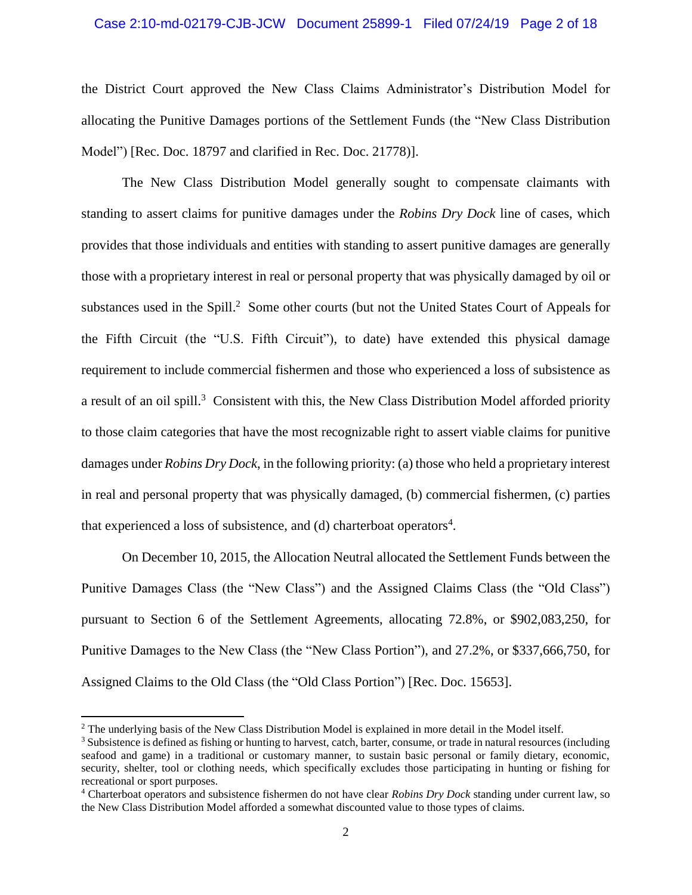#### Case 2:10-md-02179-CJB-JCW Document 25899-1 Filed 07/24/19 Page 2 of 18

the District Court approved the New Class Claims Administrator's Distribution Model for allocating the Punitive Damages portions of the Settlement Funds (the "New Class Distribution Model") [Rec. Doc. 18797 and clarified in Rec. Doc. 21778)].

The New Class Distribution Model generally sought to compensate claimants with standing to assert claims for punitive damages under the *Robins Dry Dock* line of cases, which provides that those individuals and entities with standing to assert punitive damages are generally those with a proprietary interest in real or personal property that was physically damaged by oil or substances used in the Spill.<sup>2</sup> Some other courts (but not the United States Court of Appeals for the Fifth Circuit (the "U.S. Fifth Circuit"), to date) have extended this physical damage requirement to include commercial fishermen and those who experienced a loss of subsistence as a result of an oil spill.<sup>3</sup> Consistent with this, the New Class Distribution Model afforded priority to those claim categories that have the most recognizable right to assert viable claims for punitive damages under *Robins Dry Dock*, in the following priority: (a) those who held a proprietary interest in real and personal property that was physically damaged, (b) commercial fishermen, (c) parties that experienced a loss of subsistence, and  $(d)$  charterboat operators<sup>4</sup>.

On December 10, 2015, the Allocation Neutral allocated the Settlement Funds between the Punitive Damages Class (the "New Class") and the Assigned Claims Class (the "Old Class") pursuant to Section 6 of the Settlement Agreements, allocating 72.8%, or \$902,083,250, for Punitive Damages to the New Class (the "New Class Portion"), and 27.2%, or \$337,666,750, for Assigned Claims to the Old Class (the "Old Class Portion") [Rec. Doc. 15653].

<sup>&</sup>lt;sup>2</sup> The underlying basis of the New Class Distribution Model is explained in more detail in the Model itself.

<sup>&</sup>lt;sup>3</sup> Subsistence is defined as fishing or hunting to harvest, catch, barter, consume, or trade in natural resources (including seafood and game) in a traditional or customary manner, to sustain basic personal or family dietary, economic, security, shelter, tool or clothing needs, which specifically excludes those participating in hunting or fishing for recreational or sport purposes.

<sup>4</sup> Charterboat operators and subsistence fishermen do not have clear *Robins Dry Dock* standing under current law, so the New Class Distribution Model afforded a somewhat discounted value to those types of claims.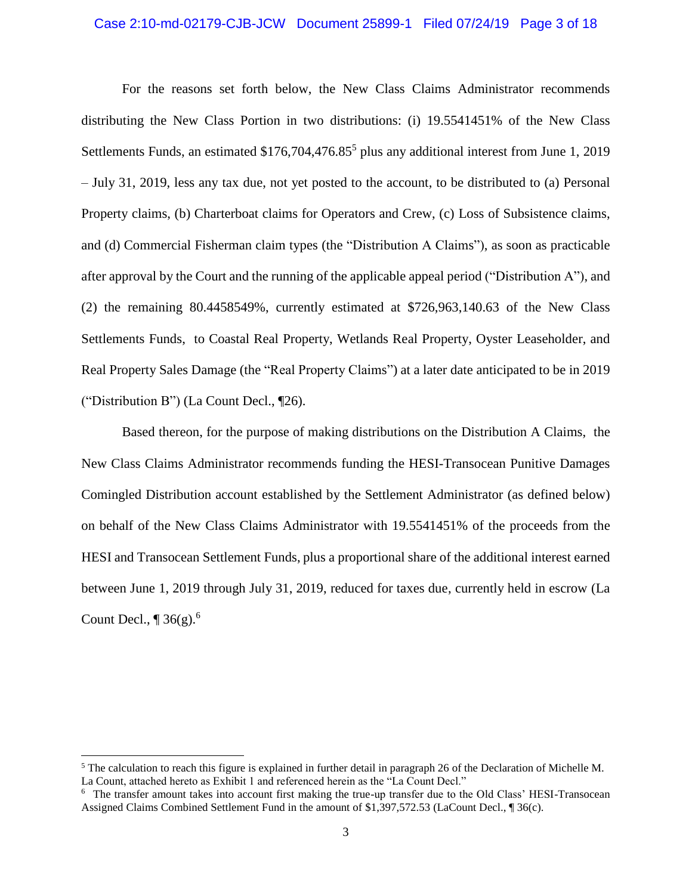#### Case 2:10-md-02179-CJB-JCW Document 25899-1 Filed 07/24/19 Page 3 of 18

For the reasons set forth below, the New Class Claims Administrator recommends distributing the New Class Portion in two distributions: (i) 19.5541451% of the New Class Settlements Funds, an estimated \$176,704,476.85<sup>5</sup> plus any additional interest from June 1, 2019 – July 31, 2019, less any tax due, not yet posted to the account, to be distributed to (a) Personal Property claims, (b) Charterboat claims for Operators and Crew, (c) Loss of Subsistence claims, and (d) Commercial Fisherman claim types (the "Distribution A Claims"), as soon as practicable after approval by the Court and the running of the applicable appeal period ("Distribution A"), and (2) the remaining 80.4458549%, currently estimated at \$726,963,140.63 of the New Class Settlements Funds, to Coastal Real Property, Wetlands Real Property, Oyster Leaseholder, and Real Property Sales Damage (the "Real Property Claims") at a later date anticipated to be in 2019 ("Distribution B") (La Count Decl., ¶26).

Based thereon, for the purpose of making distributions on the Distribution A Claims, the New Class Claims Administrator recommends funding the HESI-Transocean Punitive Damages Comingled Distribution account established by the Settlement Administrator (as defined below) on behalf of the New Class Claims Administrator with 19.5541451% of the proceeds from the HESI and Transocean Settlement Funds, plus a proportional share of the additional interest earned between June 1, 2019 through July 31, 2019, reduced for taxes due, currently held in escrow (La Count Decl.,  $\P$  36(g).<sup>6</sup>

 $<sup>5</sup>$  The calculation to reach this figure is explained in further detail in paragraph 26 of the Declaration of Michelle M.</sup> La Count, attached hereto as Exhibit 1 and referenced herein as the "La Count Decl."

<sup>6</sup> The transfer amount takes into account first making the true-up transfer due to the Old Class' HESI-Transocean Assigned Claims Combined Settlement Fund in the amount of \$1,397,572.53 (LaCount Decl., ¶ 36(c).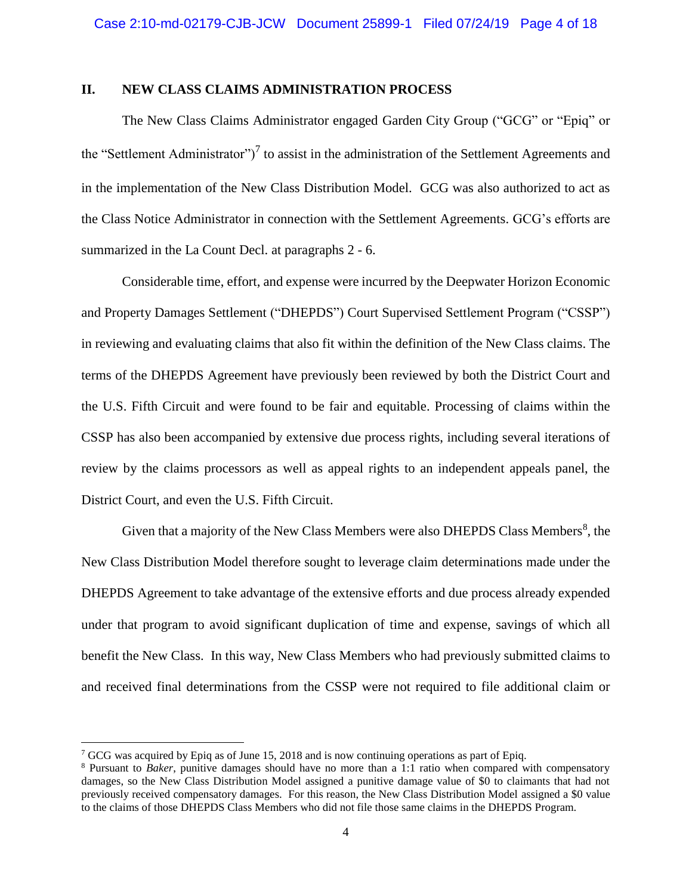## **II. NEW CLASS CLAIMS ADMINISTRATION PROCESS**

The New Class Claims Administrator engaged Garden City Group ("GCG" or "Epiq" or the "Settlement Administrator")<sup>7</sup> to assist in the administration of the Settlement Agreements and in the implementation of the New Class Distribution Model. GCG was also authorized to act as the Class Notice Administrator in connection with the Settlement Agreements. GCG's efforts are summarized in the La Count Decl. at paragraphs 2 - 6.

Considerable time, effort, and expense were incurred by the Deepwater Horizon Economic and Property Damages Settlement ("DHEPDS") Court Supervised Settlement Program ("CSSP") in reviewing and evaluating claims that also fit within the definition of the New Class claims. The terms of the DHEPDS Agreement have previously been reviewed by both the District Court and the U.S. Fifth Circuit and were found to be fair and equitable. Processing of claims within the CSSP has also been accompanied by extensive due process rights, including several iterations of review by the claims processors as well as appeal rights to an independent appeals panel, the District Court, and even the U.S. Fifth Circuit.

Given that a majority of the New Class Members were also DHEPDS Class Members $\delta$ , the New Class Distribution Model therefore sought to leverage claim determinations made under the DHEPDS Agreement to take advantage of the extensive efforts and due process already expended under that program to avoid significant duplication of time and expense, savings of which all benefit the New Class. In this way, New Class Members who had previously submitted claims to and received final determinations from the CSSP were not required to file additional claim or

 $\overline{a}$ 

<sup>&</sup>lt;sup>7</sup> GCG was acquired by Epiq as of June 15, 2018 and is now continuing operations as part of Epiq.

<sup>8</sup> Pursuant to *Baker*, punitive damages should have no more than a 1:1 ratio when compared with compensatory damages, so the New Class Distribution Model assigned a punitive damage value of \$0 to claimants that had not previously received compensatory damages. For this reason, the New Class Distribution Model assigned a \$0 value to the claims of those DHEPDS Class Members who did not file those same claims in the DHEPDS Program.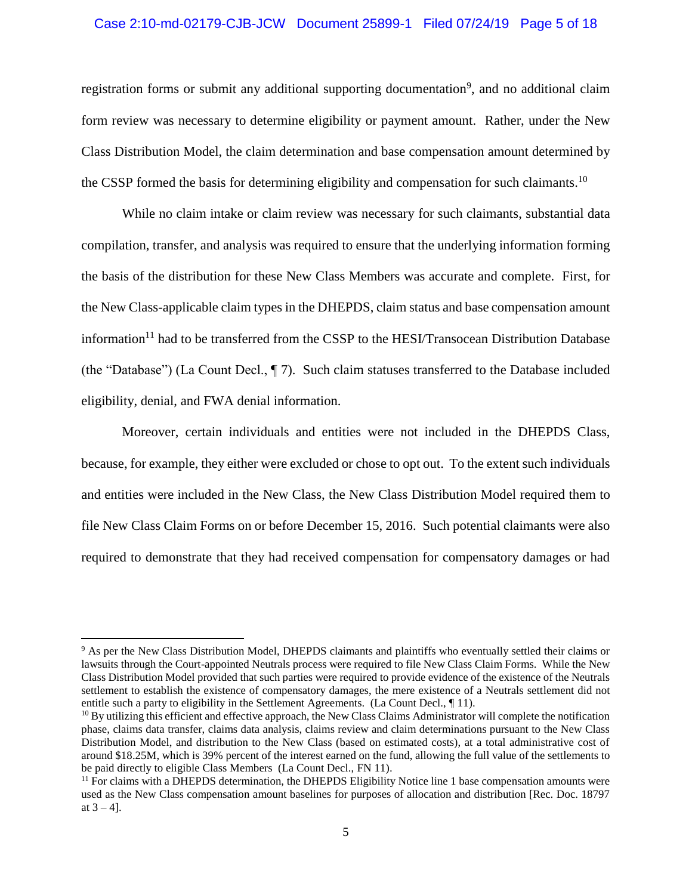#### Case 2:10-md-02179-CJB-JCW Document 25899-1 Filed 07/24/19 Page 5 of 18

registration forms or submit any additional supporting documentation<sup>9</sup>, and no additional claim form review was necessary to determine eligibility or payment amount. Rather, under the New Class Distribution Model, the claim determination and base compensation amount determined by the CSSP formed the basis for determining eligibility and compensation for such claimants.<sup>10</sup>

While no claim intake or claim review was necessary for such claimants, substantial data compilation, transfer, and analysis was required to ensure that the underlying information forming the basis of the distribution for these New Class Members was accurate and complete. First, for the New Class-applicable claim types in the DHEPDS, claim status and base compensation amount information<sup>11</sup> had to be transferred from the CSSP to the HESI/Transocean Distribution Database (the "Database") (La Count Decl., ¶ 7). Such claim statuses transferred to the Database included eligibility, denial, and FWA denial information.

Moreover, certain individuals and entities were not included in the DHEPDS Class, because, for example, they either were excluded or chose to opt out. To the extent such individuals and entities were included in the New Class, the New Class Distribution Model required them to file New Class Claim Forms on or before December 15, 2016. Such potential claimants were also required to demonstrate that they had received compensation for compensatory damages or had

<sup>9</sup> As per the New Class Distribution Model, DHEPDS claimants and plaintiffs who eventually settled their claims or lawsuits through the Court-appointed Neutrals process were required to file New Class Claim Forms. While the New Class Distribution Model provided that such parties were required to provide evidence of the existence of the Neutrals settlement to establish the existence of compensatory damages, the mere existence of a Neutrals settlement did not entitle such a party to eligibility in the Settlement Agreements. (La Count Decl., ¶ 11).

 $10$  By utilizing this efficient and effective approach, the New Class Claims Administrator will complete the notification phase, claims data transfer, claims data analysis, claims review and claim determinations pursuant to the New Class Distribution Model, and distribution to the New Class (based on estimated costs), at a total administrative cost of around \$18.25M, which is 39% percent of the interest earned on the fund, allowing the full value of the settlements to be paid directly to eligible Class Members (La Count Decl., FN 11).

<sup>&</sup>lt;sup>11</sup> For claims with a DHEPDS determination, the DHEPDS Eligibility Notice line 1 base compensation amounts were used as the New Class compensation amount baselines for purposes of allocation and distribution [Rec. Doc. 18797 at  $3 - 4$ ].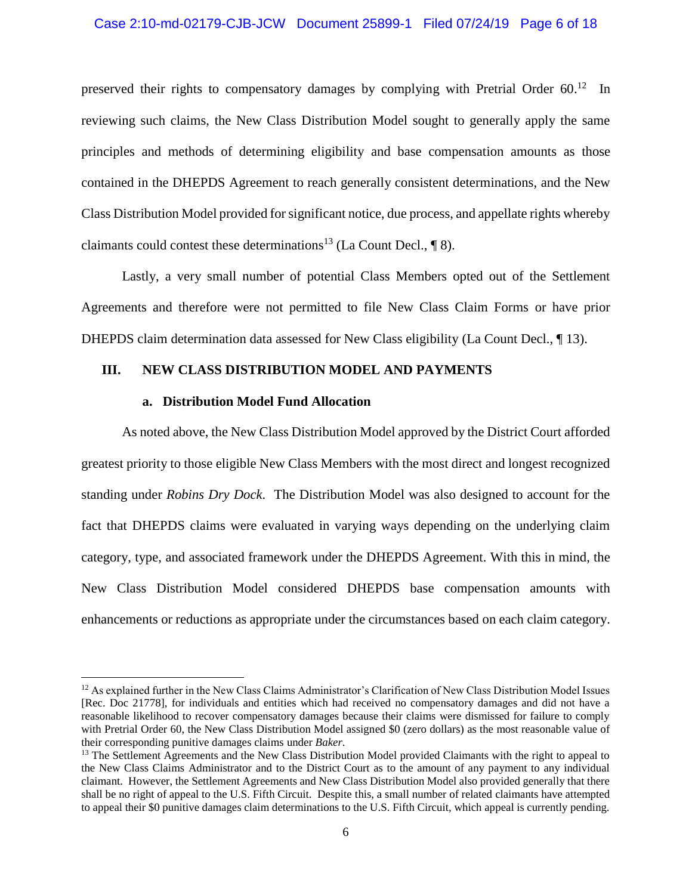#### Case 2:10-md-02179-CJB-JCW Document 25899-1 Filed 07/24/19 Page 6 of 18

preserved their rights to compensatory damages by complying with Pretrial Order 60.<sup>12</sup> In reviewing such claims, the New Class Distribution Model sought to generally apply the same principles and methods of determining eligibility and base compensation amounts as those contained in the DHEPDS Agreement to reach generally consistent determinations, and the New Class Distribution Model provided for significant notice, due process, and appellate rights whereby claimants could contest these determinations<sup>13</sup> (La Count Decl.,  $\P$  8).

Lastly, a very small number of potential Class Members opted out of the Settlement Agreements and therefore were not permitted to file New Class Claim Forms or have prior DHEPDS claim determination data assessed for New Class eligibility (La Count Decl., ¶ 13).

### **III. NEW CLASS DISTRIBUTION MODEL AND PAYMENTS**

#### **a. Distribution Model Fund Allocation**

 $\overline{\phantom{a}}$ 

As noted above, the New Class Distribution Model approved by the District Court afforded greatest priority to those eligible New Class Members with the most direct and longest recognized standing under *Robins Dry Dock*. The Distribution Model was also designed to account for the fact that DHEPDS claims were evaluated in varying ways depending on the underlying claim category, type, and associated framework under the DHEPDS Agreement. With this in mind, the New Class Distribution Model considered DHEPDS base compensation amounts with enhancements or reductions as appropriate under the circumstances based on each claim category.

<sup>&</sup>lt;sup>12</sup> As explained further in the New Class Claims Administrator's Clarification of New Class Distribution Model Issues [Rec. Doc 21778], for individuals and entities which had received no compensatory damages and did not have a reasonable likelihood to recover compensatory damages because their claims were dismissed for failure to comply with Pretrial Order 60, the New Class Distribution Model assigned \$0 (zero dollars) as the most reasonable value of their corresponding punitive damages claims under *Baker*.

<sup>&</sup>lt;sup>13</sup> The Settlement Agreements and the New Class Distribution Model provided Claimants with the right to appeal to the New Class Claims Administrator and to the District Court as to the amount of any payment to any individual claimant. However, the Settlement Agreements and New Class Distribution Model also provided generally that there shall be no right of appeal to the U.S. Fifth Circuit. Despite this, a small number of related claimants have attempted to appeal their \$0 punitive damages claim determinations to the U.S. Fifth Circuit, which appeal is currently pending.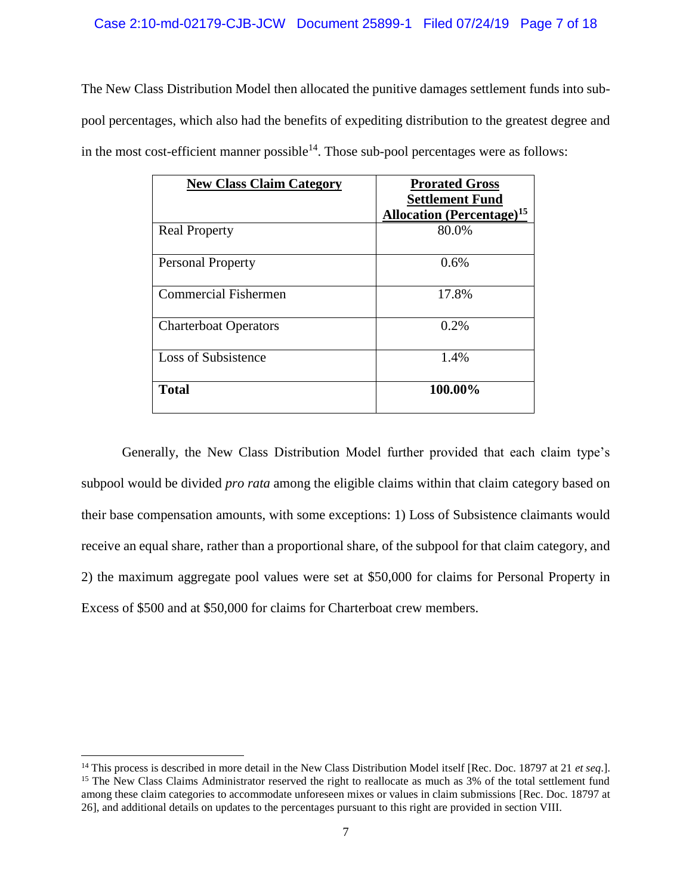The New Class Distribution Model then allocated the punitive damages settlement funds into subpool percentages, which also had the benefits of expediting distribution to the greatest degree and in the most cost-efficient manner possible $14$ . Those sub-pool percentages were as follows:

| <b>New Class Claim Category</b> | <b>Prorated Gross</b><br><b>Settlement Fund</b><br><b>Allocation</b> (Percentage) <sup>15</sup> |
|---------------------------------|-------------------------------------------------------------------------------------------------|
| <b>Real Property</b>            | 80.0%                                                                                           |
| <b>Personal Property</b>        | 0.6%                                                                                            |
| Commercial Fishermen            | 17.8%                                                                                           |
| <b>Charterboat Operators</b>    | 0.2%                                                                                            |
| Loss of Subsistence             | 1.4%                                                                                            |
| <b>Total</b>                    | 100.00%                                                                                         |

Generally, the New Class Distribution Model further provided that each claim type's subpool would be divided *pro rata* among the eligible claims within that claim category based on their base compensation amounts, with some exceptions: 1) Loss of Subsistence claimants would receive an equal share, rather than a proportional share, of the subpool for that claim category, and 2) the maximum aggregate pool values were set at \$50,000 for claims for Personal Property in Excess of \$500 and at \$50,000 for claims for Charterboat crew members.

<sup>&</sup>lt;sup>14</sup> This process is described in more detail in the New Class Distribution Model itself [Rec. Doc. 18797 at 21 *et seq.*]. <sup>15</sup> The New Class Claims Administrator reserved the right to reallocate as much as 3% of the total settlement fund among these claim categories to accommodate unforeseen mixes or values in claim submissions [Rec. Doc. 18797 at 26], and additional details on updates to the percentages pursuant to this right are provided in section VIII.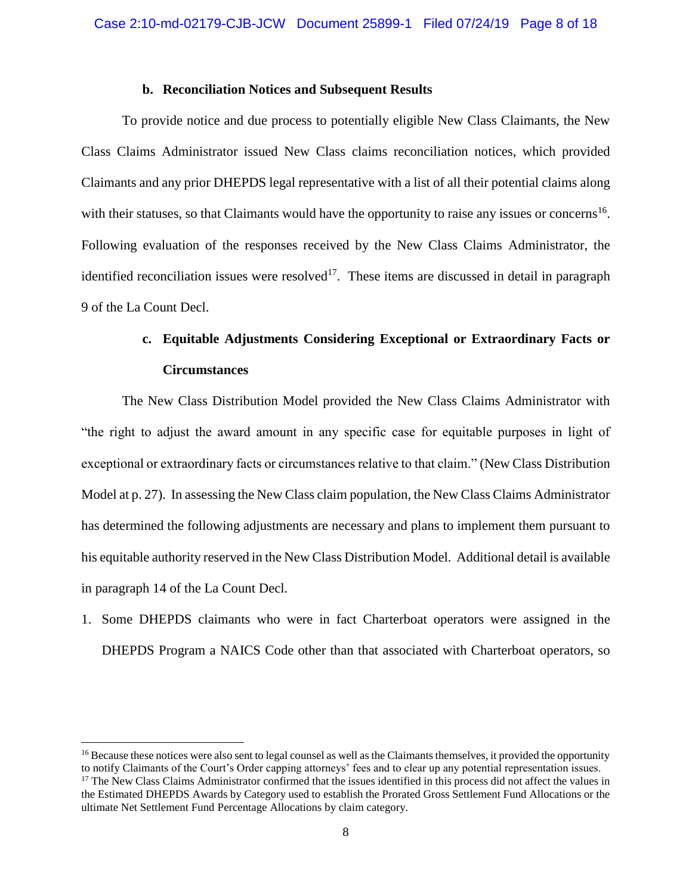#### **b. Reconciliation Notices and Subsequent Results**

To provide notice and due process to potentially eligible New Class Claimants, the New Class Claims Administrator issued New Class claims reconciliation notices, which provided Claimants and any prior DHEPDS legal representative with a list of all their potential claims along with their statuses, so that Claimants would have the opportunity to raise any issues or concerns<sup>16</sup>. Following evaluation of the responses received by the New Class Claims Administrator, the identified reconciliation issues were resolved<sup>17</sup>. These items are discussed in detail in paragraph 9 of the La Count Decl.

# **c. Equitable Adjustments Considering Exceptional or Extraordinary Facts or Circumstances**

The New Class Distribution Model provided the New Class Claims Administrator with "the right to adjust the award amount in any specific case for equitable purposes in light of exceptional or extraordinary facts or circumstances relative to that claim." (New Class Distribution Model at p. 27). In assessing the New Class claim population, the New Class Claims Administrator has determined the following adjustments are necessary and plans to implement them pursuant to his equitable authority reserved in the New Class Distribution Model. Additional detail is available in paragraph 14 of the La Count Decl.

1. Some DHEPDS claimants who were in fact Charterboat operators were assigned in the DHEPDS Program a NAICS Code other than that associated with Charterboat operators, so

 $\overline{a}$ 

<sup>&</sup>lt;sup>16</sup> Because these notices were also sent to legal counsel as well as the Claimants themselves, it provided the opportunity to notify Claimants of the Court's Order capping attorneys' fees and to clear up any potential representation issues.  $17$  The New Class Claims Administrator confirmed that the issues identified in this process did not affect the values in the Estimated DHEPDS Awards by Category used to establish the Prorated Gross Settlement Fund Allocations or the ultimate Net Settlement Fund Percentage Allocations by claim category.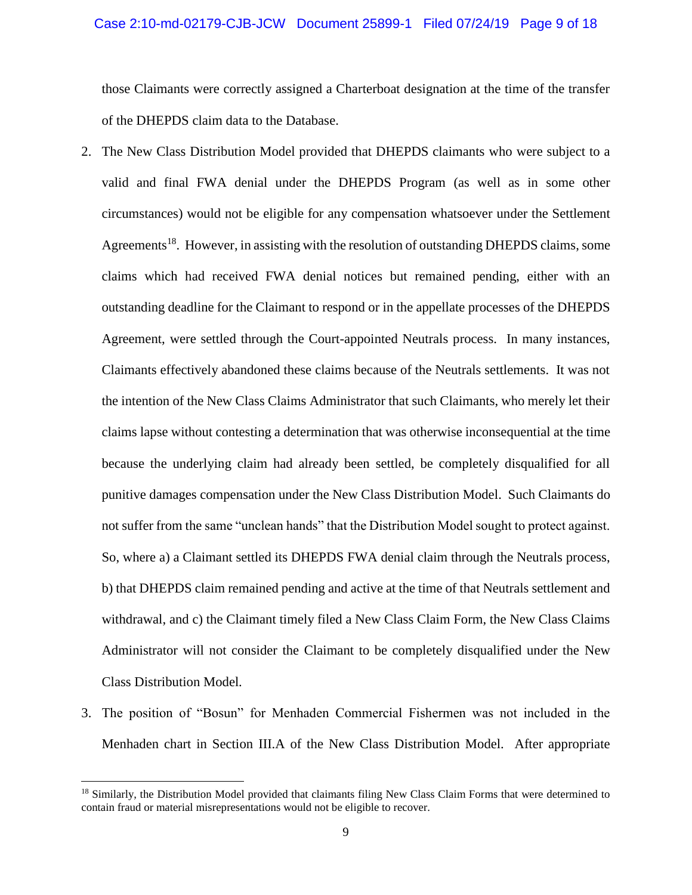#### Case 2:10-md-02179-CJB-JCW Document 25899-1 Filed 07/24/19 Page 9 of 18

those Claimants were correctly assigned a Charterboat designation at the time of the transfer of the DHEPDS claim data to the Database.

- 2. The New Class Distribution Model provided that DHEPDS claimants who were subject to a valid and final FWA denial under the DHEPDS Program (as well as in some other circumstances) would not be eligible for any compensation whatsoever under the Settlement Agreements<sup>18</sup>. However, in assisting with the resolution of outstanding DHEPDS claims, some claims which had received FWA denial notices but remained pending, either with an outstanding deadline for the Claimant to respond or in the appellate processes of the DHEPDS Agreement, were settled through the Court-appointed Neutrals process. In many instances, Claimants effectively abandoned these claims because of the Neutrals settlements. It was not the intention of the New Class Claims Administrator that such Claimants, who merely let their claims lapse without contesting a determination that was otherwise inconsequential at the time because the underlying claim had already been settled, be completely disqualified for all punitive damages compensation under the New Class Distribution Model. Such Claimants do not suffer from the same "unclean hands" that the Distribution Model sought to protect against. So, where a) a Claimant settled its DHEPDS FWA denial claim through the Neutrals process, b) that DHEPDS claim remained pending and active at the time of that Neutrals settlement and withdrawal, and c) the Claimant timely filed a New Class Claim Form, the New Class Claims Administrator will not consider the Claimant to be completely disqualified under the New Class Distribution Model.
- 3. The position of "Bosun" for Menhaden Commercial Fishermen was not included in the Menhaden chart in Section III.A of the New Class Distribution Model. After appropriate

<sup>&</sup>lt;sup>18</sup> Similarly, the Distribution Model provided that claimants filing New Class Claim Forms that were determined to contain fraud or material misrepresentations would not be eligible to recover.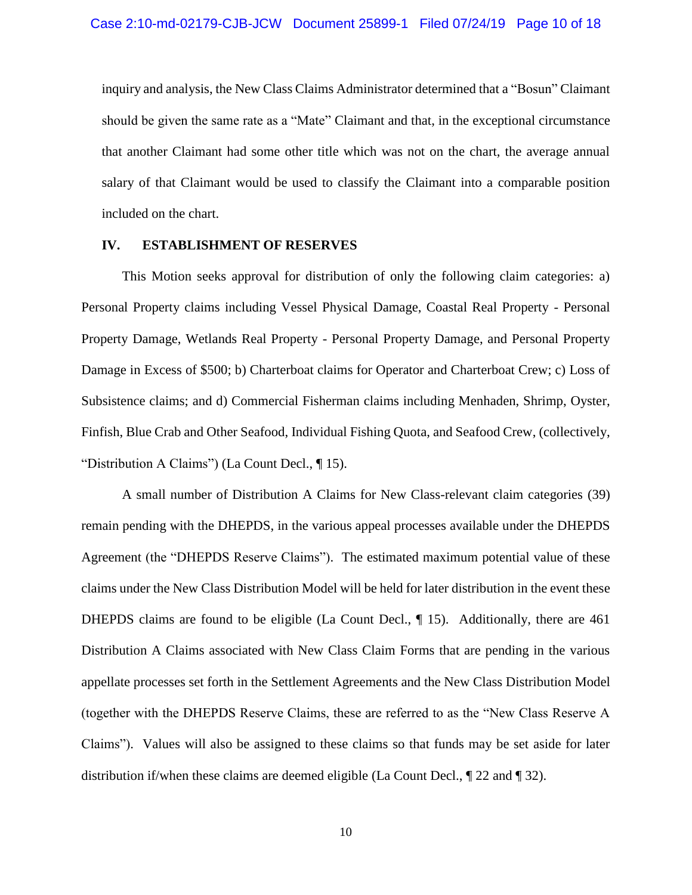inquiry and analysis, the New Class Claims Administrator determined that a "Bosun" Claimant should be given the same rate as a "Mate" Claimant and that, in the exceptional circumstance that another Claimant had some other title which was not on the chart, the average annual salary of that Claimant would be used to classify the Claimant into a comparable position included on the chart.

#### **IV. ESTABLISHMENT OF RESERVES**

This Motion seeks approval for distribution of only the following claim categories: a) Personal Property claims including Vessel Physical Damage, Coastal Real Property - Personal Property Damage, Wetlands Real Property - Personal Property Damage, and Personal Property Damage in Excess of \$500; b) Charterboat claims for Operator and Charterboat Crew; c) Loss of Subsistence claims; and d) Commercial Fisherman claims including Menhaden, Shrimp, Oyster, Finfish, Blue Crab and Other Seafood, Individual Fishing Quota, and Seafood Crew, (collectively, "Distribution A Claims") (La Count Decl., ¶ 15).

A small number of Distribution A Claims for New Class-relevant claim categories (39) remain pending with the DHEPDS, in the various appeal processes available under the DHEPDS Agreement (the "DHEPDS Reserve Claims"). The estimated maximum potential value of these claims under the New Class Distribution Model will be held for later distribution in the event these DHEPDS claims are found to be eligible (La Count Decl., ¶ 15). Additionally, there are 461 Distribution A Claims associated with New Class Claim Forms that are pending in the various appellate processes set forth in the Settlement Agreements and the New Class Distribution Model (together with the DHEPDS Reserve Claims, these are referred to as the "New Class Reserve A Claims"). Values will also be assigned to these claims so that funds may be set aside for later distribution if/when these claims are deemed eligible (La Count Decl.,  $\sqrt{\phantom{a}}$  22 and  $\sqrt{\phantom{a}}$  32).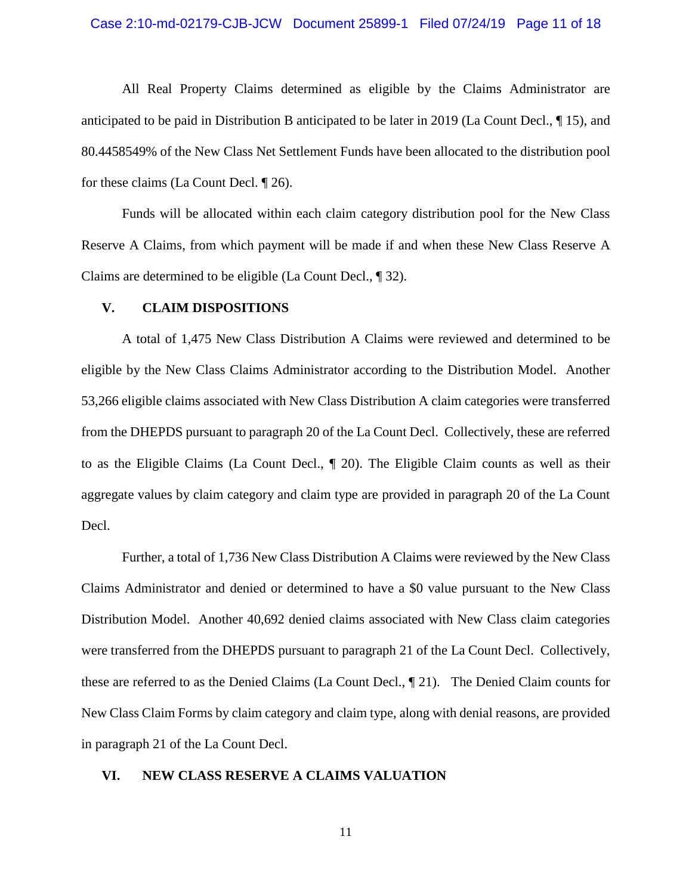#### Case 2:10-md-02179-CJB-JCW Document 25899-1 Filed 07/24/19 Page 11 of 18

All Real Property Claims determined as eligible by the Claims Administrator are anticipated to be paid in Distribution B anticipated to be later in 2019 (La Count Decl., ¶ 15), and 80.4458549% of the New Class Net Settlement Funds have been allocated to the distribution pool for these claims (La Count Decl. ¶ 26).

Funds will be allocated within each claim category distribution pool for the New Class Reserve A Claims, from which payment will be made if and when these New Class Reserve A Claims are determined to be eligible (La Count Decl., ¶ 32).

#### **V. CLAIM DISPOSITIONS**

A total of 1,475 New Class Distribution A Claims were reviewed and determined to be eligible by the New Class Claims Administrator according to the Distribution Model. Another 53,266 eligible claims associated with New Class Distribution A claim categories were transferred from the DHEPDS pursuant to paragraph 20 of the La Count Decl. Collectively, these are referred to as the Eligible Claims (La Count Decl., ¶ 20). The Eligible Claim counts as well as their aggregate values by claim category and claim type are provided in paragraph 20 of the La Count Decl.

Further, a total of 1,736 New Class Distribution A Claims were reviewed by the New Class Claims Administrator and denied or determined to have a \$0 value pursuant to the New Class Distribution Model. Another 40,692 denied claims associated with New Class claim categories were transferred from the DHEPDS pursuant to paragraph 21 of the La Count Decl. Collectively, these are referred to as the Denied Claims (La Count Decl., ¶ 21). The Denied Claim counts for New Class Claim Forms by claim category and claim type, along with denial reasons, are provided in paragraph 21 of the La Count Decl.

#### **VI. NEW CLASS RESERVE A CLAIMS VALUATION**

11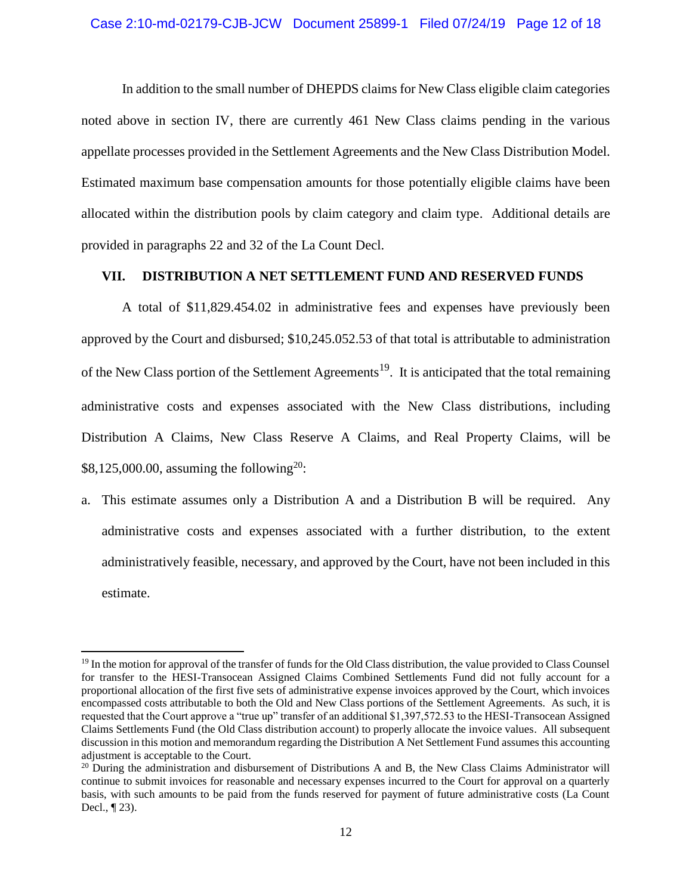In addition to the small number of DHEPDS claims for New Class eligible claim categories noted above in section IV, there are currently 461 New Class claims pending in the various appellate processes provided in the Settlement Agreements and the New Class Distribution Model. Estimated maximum base compensation amounts for those potentially eligible claims have been allocated within the distribution pools by claim category and claim type. Additional details are provided in paragraphs 22 and 32 of the La Count Decl.

### **VII. DISTRIBUTION A NET SETTLEMENT FUND AND RESERVED FUNDS**

A total of \$11,829.454.02 in administrative fees and expenses have previously been approved by the Court and disbursed; \$10,245.052.53 of that total is attributable to administration of the New Class portion of the Settlement Agreements<sup>19</sup>. It is anticipated that the total remaining administrative costs and expenses associated with the New Class distributions, including Distribution A Claims, New Class Reserve A Claims, and Real Property Claims, will be  $$8,125,000.00$ , assuming the following<sup>20</sup>:

a. This estimate assumes only a Distribution A and a Distribution B will be required. Any administrative costs and expenses associated with a further distribution, to the extent administratively feasible, necessary, and approved by the Court, have not been included in this estimate.

 $\overline{a}$ 

<sup>&</sup>lt;sup>19</sup> In the motion for approval of the transfer of funds for the Old Class distribution, the value provided to Class Counsel for transfer to the HESI-Transocean Assigned Claims Combined Settlements Fund did not fully account for a proportional allocation of the first five sets of administrative expense invoices approved by the Court, which invoices encompassed costs attributable to both the Old and New Class portions of the Settlement Agreements. As such, it is requested that the Court approve a "true up" transfer of an additional \$1,397,572.53 to the HESI-Transocean Assigned Claims Settlements Fund (the Old Class distribution account) to properly allocate the invoice values. All subsequent discussion in this motion and memorandum regarding the Distribution A Net Settlement Fund assumes this accounting adjustment is acceptable to the Court.

 $20$  During the administration and disbursement of Distributions A and B, the New Class Claims Administrator will continue to submit invoices for reasonable and necessary expenses incurred to the Court for approval on a quarterly basis, with such amounts to be paid from the funds reserved for payment of future administrative costs (La Count Decl., ¶ 23).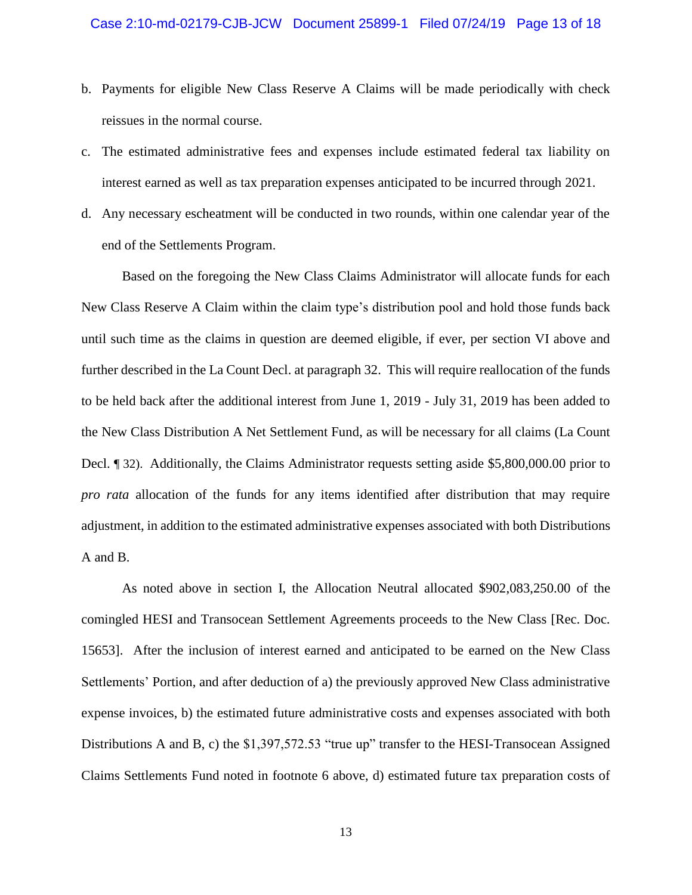- b. Payments for eligible New Class Reserve A Claims will be made periodically with check reissues in the normal course.
- c. The estimated administrative fees and expenses include estimated federal tax liability on interest earned as well as tax preparation expenses anticipated to be incurred through 2021.
- d. Any necessary escheatment will be conducted in two rounds, within one calendar year of the end of the Settlements Program.

Based on the foregoing the New Class Claims Administrator will allocate funds for each New Class Reserve A Claim within the claim type's distribution pool and hold those funds back until such time as the claims in question are deemed eligible, if ever, per section VI above and further described in the La Count Decl. at paragraph 32. This will require reallocation of the funds to be held back after the additional interest from June 1, 2019 - July 31, 2019 has been added to the New Class Distribution A Net Settlement Fund, as will be necessary for all claims (La Count Decl. ¶ 32). Additionally, the Claims Administrator requests setting aside \$5,800,000.00 prior to *pro rata* allocation of the funds for any items identified after distribution that may require adjustment, in addition to the estimated administrative expenses associated with both Distributions A and B.

As noted above in section I, the Allocation Neutral allocated \$902,083,250.00 of the comingled HESI and Transocean Settlement Agreements proceeds to the New Class [Rec. Doc. 15653]. After the inclusion of interest earned and anticipated to be earned on the New Class Settlements' Portion, and after deduction of a) the previously approved New Class administrative expense invoices, b) the estimated future administrative costs and expenses associated with both Distributions A and B, c) the \$1,397,572.53 "true up" transfer to the HESI-Transocean Assigned Claims Settlements Fund noted in footnote 6 above, d) estimated future tax preparation costs of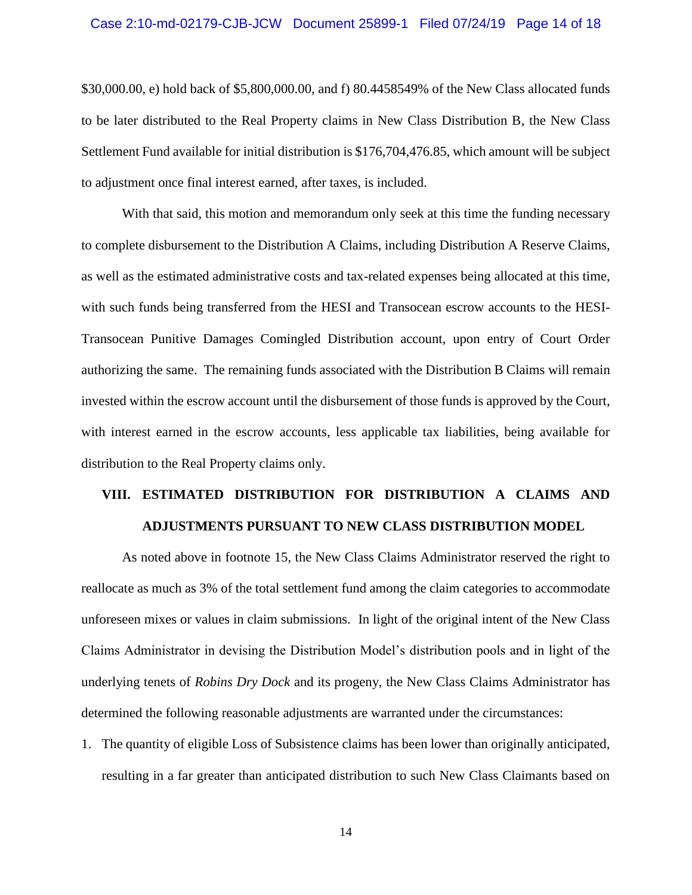#### Case 2:10-md-02179-CJB-JCW Document 25899-1 Filed 07/24/19 Page 14 of 18

\$30,000.00, e) hold back of \$5,800,000.00, and f) 80.4458549% of the New Class allocated funds to be later distributed to the Real Property claims in New Class Distribution B, the New Class Settlement Fund available for initial distribution is \$176,704,476.85, which amount will be subject to adjustment once final interest earned, after taxes, is included.

With that said, this motion and memorandum only seek at this time the funding necessary to complete disbursement to the Distribution A Claims, including Distribution A Reserve Claims, as well as the estimated administrative costs and tax-related expenses being allocated at this time, with such funds being transferred from the HESI and Transocean escrow accounts to the HESI-Transocean Punitive Damages Comingled Distribution account, upon entry of Court Order authorizing the same. The remaining funds associated with the Distribution B Claims will remain invested within the escrow account until the disbursement of those funds is approved by the Court, with interest earned in the escrow accounts, less applicable tax liabilities, being available for distribution to the Real Property claims only.

# **VIII. ESTIMATED DISTRIBUTION FOR DISTRIBUTION A CLAIMS AND ADJUSTMENTS PURSUANT TO NEW CLASS DISTRIBUTION MODEL**

As noted above in footnote 15, the New Class Claims Administrator reserved the right to reallocate as much as 3% of the total settlement fund among the claim categories to accommodate unforeseen mixes or values in claim submissions. In light of the original intent of the New Class Claims Administrator in devising the Distribution Model's distribution pools and in light of the underlying tenets of *Robins Dry Dock* and its progeny, the New Class Claims Administrator has determined the following reasonable adjustments are warranted under the circumstances:

1. The quantity of eligible Loss of Subsistence claims has been lower than originally anticipated, resulting in a far greater than anticipated distribution to such New Class Claimants based on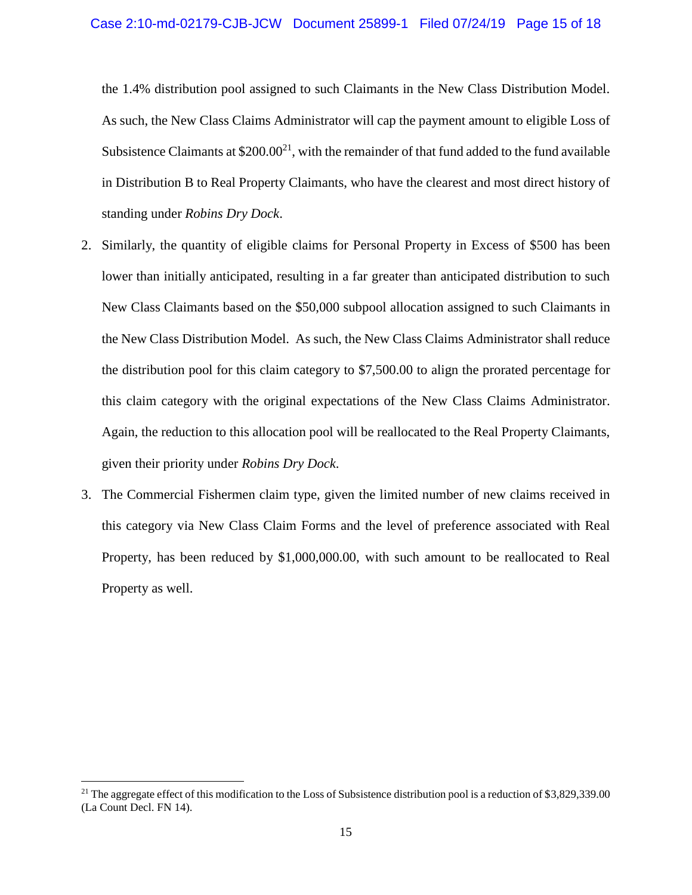the 1.4% distribution pool assigned to such Claimants in the New Class Distribution Model. As such, the New Class Claims Administrator will cap the payment amount to eligible Loss of Subsistence Claimants at  $$200.00^{21}$ , with the remainder of that fund added to the fund available in Distribution B to Real Property Claimants, who have the clearest and most direct history of standing under *Robins Dry Dock*.

- 2. Similarly, the quantity of eligible claims for Personal Property in Excess of \$500 has been lower than initially anticipated, resulting in a far greater than anticipated distribution to such New Class Claimants based on the \$50,000 subpool allocation assigned to such Claimants in the New Class Distribution Model. As such, the New Class Claims Administrator shall reduce the distribution pool for this claim category to \$7,500.00 to align the prorated percentage for this claim category with the original expectations of the New Class Claims Administrator. Again, the reduction to this allocation pool will be reallocated to the Real Property Claimants, given their priority under *Robins Dry Dock*.
- 3. The Commercial Fishermen claim type, given the limited number of new claims received in this category via New Class Claim Forms and the level of preference associated with Real Property, has been reduced by \$1,000,000.00, with such amount to be reallocated to Real Property as well.

<sup>&</sup>lt;sup>21</sup> The aggregate effect of this modification to the Loss of Subsistence distribution pool is a reduction of \$3,829,339.00 (La Count Decl. FN 14).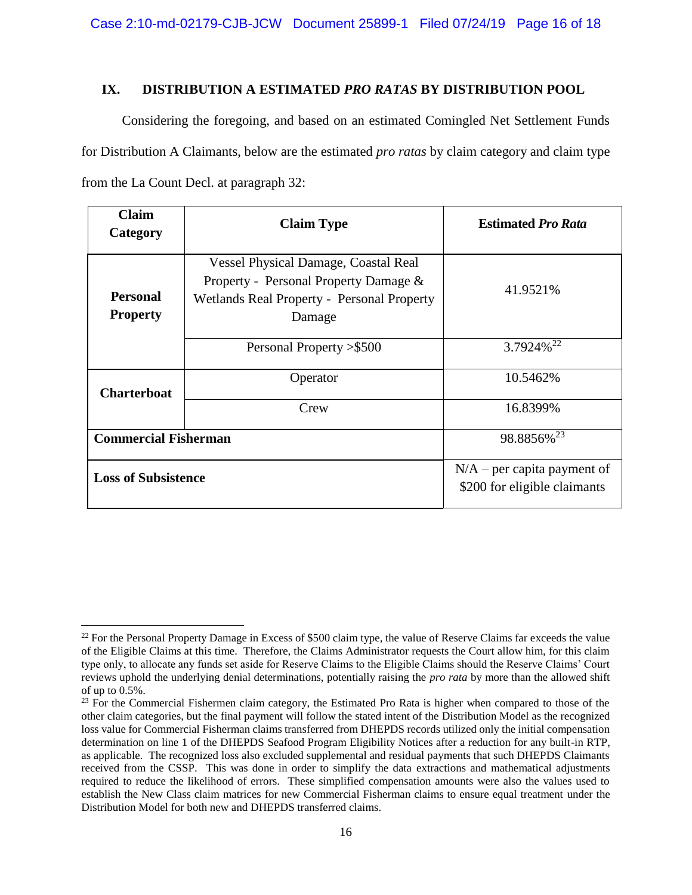## **IX. DISTRIBUTION A ESTIMATED** *PRO RATAS* **BY DISTRIBUTION POOL**

Considering the foregoing, and based on an estimated Comingled Net Settlement Funds for Distribution A Claimants, below are the estimated *pro ratas* by claim category and claim type from the La Count Decl. at paragraph 32:

| <b>Claim</b><br>Category           | <b>Claim Type</b>                                                                                                                            | <b>Estimated Pro Rata</b>                                     |
|------------------------------------|----------------------------------------------------------------------------------------------------------------------------------------------|---------------------------------------------------------------|
| <b>Personal</b><br><b>Property</b> | <b>Vessel Physical Damage, Coastal Real</b><br>Property - Personal Property Damage &<br>Wetlands Real Property - Personal Property<br>Damage | 41.9521\%                                                     |
|                                    | Personal Property > \$500                                                                                                                    | 3.7924% <sup>22</sup>                                         |
| <b>Charterboat</b>                 | Operator                                                                                                                                     | 10.5462%                                                      |
|                                    | Crew                                                                                                                                         | 16.8399%                                                      |
| <b>Commercial Fisherman</b>        |                                                                                                                                              | 98.8856% <sup>23</sup>                                        |
| <b>Loss of Subsistence</b>         |                                                                                                                                              | $N/A$ – per capita payment of<br>\$200 for eligible claimants |

 $\overline{a}$  $22$  For the Personal Property Damage in Excess of \$500 claim type, the value of Reserve Claims far exceeds the value of the Eligible Claims at this time. Therefore, the Claims Administrator requests the Court allow him, for this claim type only, to allocate any funds set aside for Reserve Claims to the Eligible Claims should the Reserve Claims' Court reviews uphold the underlying denial determinations, potentially raising the *pro rata* by more than the allowed shift of up to 0.5%.

<sup>&</sup>lt;sup>23</sup> For the Commercial Fishermen claim category, the Estimated Pro Rata is higher when compared to those of the other claim categories, but the final payment will follow the stated intent of the Distribution Model as the recognized loss value for Commercial Fisherman claims transferred from DHEPDS records utilized only the initial compensation determination on line 1 of the DHEPDS Seafood Program Eligibility Notices after a reduction for any built-in RTP, as applicable. The recognized loss also excluded supplemental and residual payments that such DHEPDS Claimants received from the CSSP. This was done in order to simplify the data extractions and mathematical adjustments required to reduce the likelihood of errors. These simplified compensation amounts were also the values used to establish the New Class claim matrices for new Commercial Fisherman claims to ensure equal treatment under the Distribution Model for both new and DHEPDS transferred claims.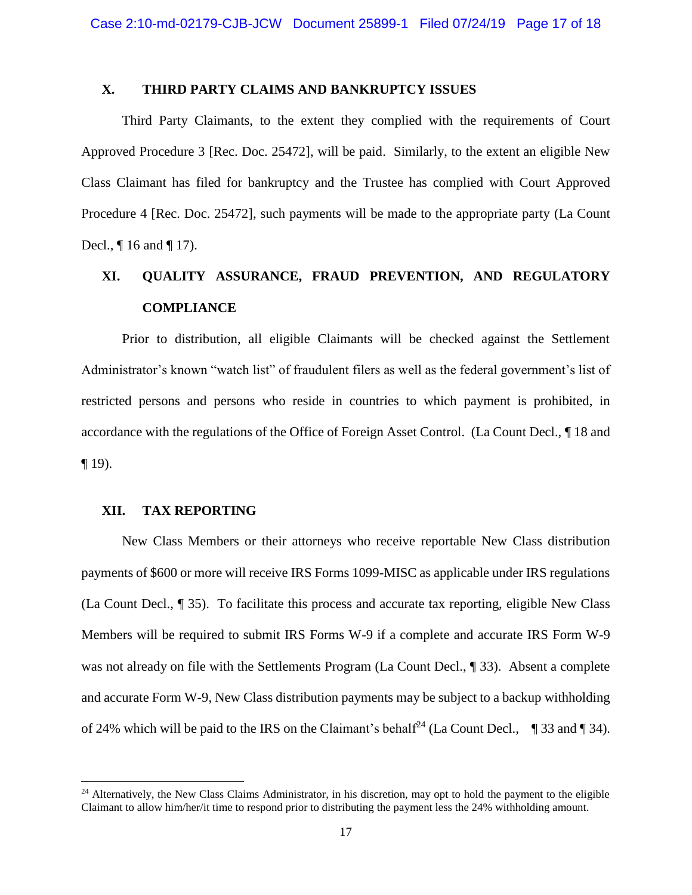## **X. THIRD PARTY CLAIMS AND BANKRUPTCY ISSUES**

Third Party Claimants, to the extent they complied with the requirements of Court Approved Procedure 3 [Rec. Doc. 25472], will be paid. Similarly, to the extent an eligible New Class Claimant has filed for bankruptcy and the Trustee has complied with Court Approved Procedure 4 [Rec. Doc. 25472], such payments will be made to the appropriate party (La Count Decl., ¶ 16 and ¶ 17).

# **XI. QUALITY ASSURANCE, FRAUD PREVENTION, AND REGULATORY COMPLIANCE**

Prior to distribution, all eligible Claimants will be checked against the Settlement Administrator's known "watch list" of fraudulent filers as well as the federal government's list of restricted persons and persons who reside in countries to which payment is prohibited, in accordance with the regulations of the Office of Foreign Asset Control. (La Count Decl., ¶ 18 and  $\P$  19).

### **XII. TAX REPORTING**

 $\overline{\phantom{a}}$ 

New Class Members or their attorneys who receive reportable New Class distribution payments of \$600 or more will receive IRS Forms 1099-MISC as applicable under IRS regulations (La Count Decl., ¶ 35). To facilitate this process and accurate tax reporting, eligible New Class Members will be required to submit IRS Forms W-9 if a complete and accurate IRS Form W-9 was not already on file with the Settlements Program (La Count Decl., ¶ 33). Absent a complete and accurate Form W-9, New Class distribution payments may be subject to a backup withholding of 24% which will be paid to the IRS on the Claimant's behalf<sup>24</sup> (La Count Decl.,  $\parallel$  33 and  $\parallel$  34).

 $24$  Alternatively, the New Class Claims Administrator, in his discretion, may opt to hold the payment to the eligible Claimant to allow him/her/it time to respond prior to distributing the payment less the 24% withholding amount.